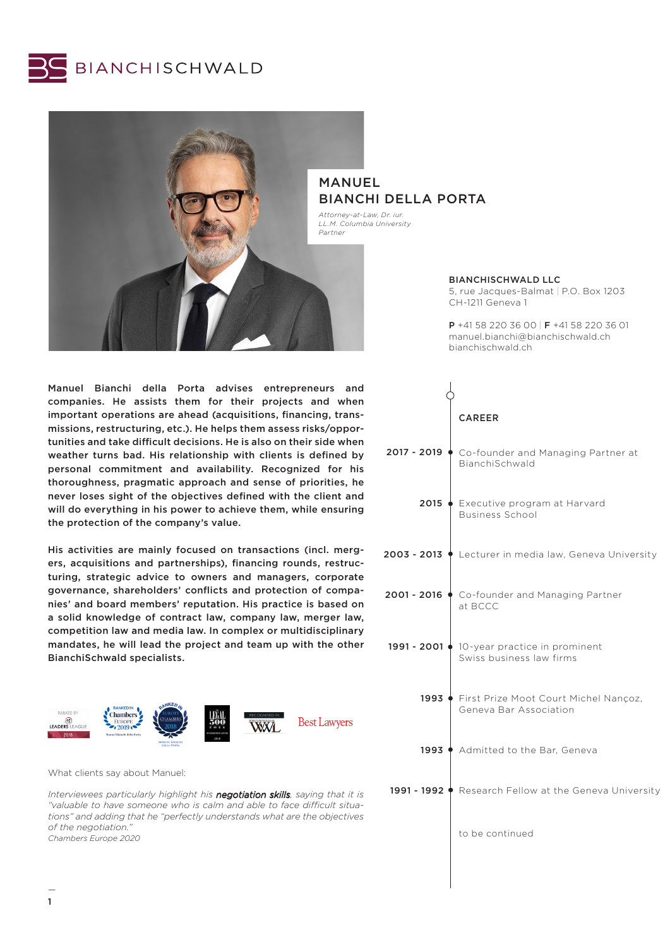



Manuel Bianchi della Porta advises entrepreneurs and companies. He assists them for their projects and when important operations are ahead (acquisitions, financing, transmissions, restructuring, etc.). He helps them assess risks/opportunities and take difficult decisions. He is also on their side when weather turns bad. His relationship with clients is defined by personal commitment and availability. Recognized for his thoroughness, pragmatic approach and sense of priorities, he never loses sight of the objectives defined with the client and will do everything in his power to achieve them, while ensuring the protection of the company's value.

His activities are mainly focused on transactions (incl. mergers, acquisitions and partnerships), financing rounds, restructuring, strategic advice to owners and managers, corporate governance, shareholders' conflicts and protection of companies' and board members' reputation. His practice is based on a solid knowledge of contract law, company law, merger law, competition law and media law. In complex or multidisciplinary mandates, he will lead the project and team up with the other BianchiSchwald specialists.



What clients say about Manuel:

*Interviewees particularly highlight his negotiation skills, saying that it is "valuable to have someone who is calm and able to face difficult situations" and adding that he "perfectly understands what are the objectives of the negotiation." Chambers Europe 2020*

# BIANCHI DELLA PORTA

*Attorney-at-Law, Dr. iur. LL.M. Columbia University*

BIANCHISCHWALD LLC

5, rue Jacques-Balmat | P.O. Box 1203 CH-1211 Geneva 1

P +41 58 220 36 00 | F +41 58 220 36 01 manuel.bianchi@bianchischwald.ch bianchischwald.ch

|               | <b>CAREER</b>                                                           |
|---------------|-------------------------------------------------------------------------|
| 2017 - 2019 ♦ | Co-founder and Managing Partner at<br>BianchiSchwald                    |
|               | 2015 • Executive program at Harvard<br><b>Business School</b>           |
|               | 2003 - 2013 ♦ Lecturer in media law, Geneva University                  |
| 2001 - 2016   | Co-founder and Managing Partner<br>at BCCC                              |
|               | 1991 - 2001 ♦ 10-year practice in prominent<br>Swiss business law firms |
| 1993          | First Prize Moot Court Michel Nançoz,<br>Geneva Bar Association         |
|               | 1993 ♦ Admitted to the Bar, Geneva                                      |
|               | 1991 - 1992 ♦ Research Fellow at the Geneva University                  |
|               | to be continued                                                         |
|               |                                                                         |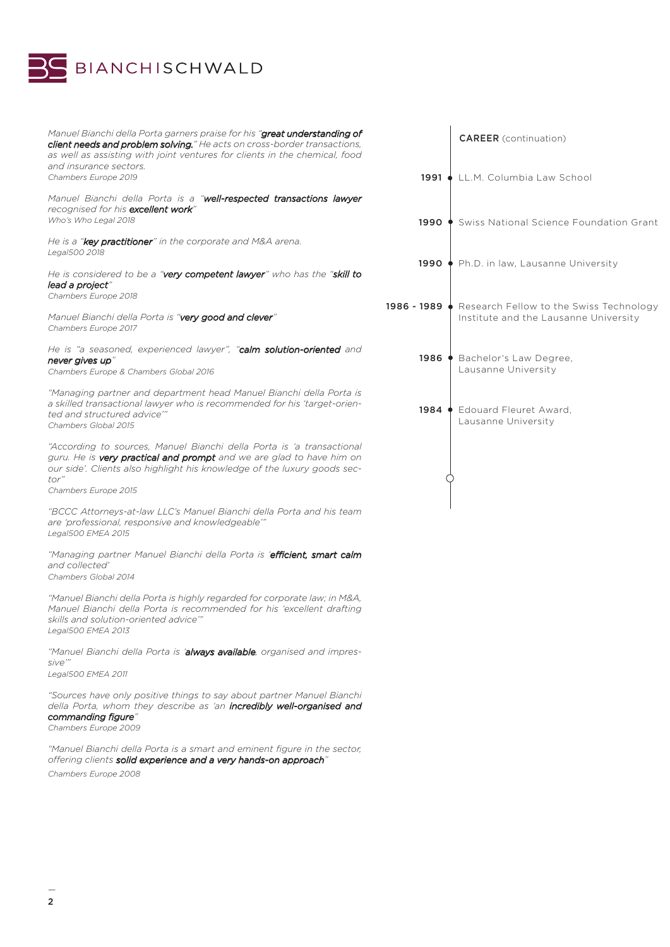

| Manuel Bianchi della Porta garners praise for his "great understanding of<br>client needs and problem solving." He acts on cross-border transactions,<br>as well as assisting with joint ventures for clients in the chemical, food |                | <b>CAREER</b> (continuation)                                                                   |
|-------------------------------------------------------------------------------------------------------------------------------------------------------------------------------------------------------------------------------------|----------------|------------------------------------------------------------------------------------------------|
| and insurance sectors.                                                                                                                                                                                                              |                |                                                                                                |
| Chambers Europe 2019                                                                                                                                                                                                                |                | 1991 ↓ LL.M. Columbia Law School                                                               |
| Manuel Bianchi della Porta is a "well-respected transactions lawyer<br>recognised for his excellent work"                                                                                                                           |                |                                                                                                |
| Who's Who Legal 2018                                                                                                                                                                                                                |                | 1990 ♦ Swiss National Science Foundation Grant                                                 |
| He is a "key practitioner" in the corporate and M&A arena.<br>Legal500 2018                                                                                                                                                         |                |                                                                                                |
| He is considered to be a "very competent lawyer" who has the "skill to<br>lead a project"                                                                                                                                           |                | 1990 ♦ Ph.D. in law, Lausanne University                                                       |
| Chambers Europe 2018                                                                                                                                                                                                                |                |                                                                                                |
| Manuel Bianchi della Porta is "very good and clever"<br>Chambers Europe 2017                                                                                                                                                        |                | 1986 - 1989 • Research Fellow to the Swiss Technology<br>Institute and the Lausanne University |
| He is "a seasoned, experienced lawyer", "calm solution-oriented and<br>never gives up"                                                                                                                                              | 1986 $\bullet$ | Bachelor's Law Degree,                                                                         |
| Chambers Europe & Chambers Global 2016                                                                                                                                                                                              |                | Lausanne University                                                                            |
| "Managing partner and department head Manuel Bianchi della Porta is<br>a skilled transactional lawyer who is recommended for his 'target-orien-                                                                                     |                | 1984 ♦ Edouard Fleuret Award,                                                                  |
| ted and structured advice"<br>Chambers Global 2015                                                                                                                                                                                  |                | Lausanne University                                                                            |
| "According to sources, Manuel Bianchi della Porta is 'a transactional<br>guru. He is very practical and prompt and we are glad to have him on<br>our side'. Clients also highlight his knowledge of the luxury goods sec-<br>tor"   |                |                                                                                                |
| Chambers Europe 2015                                                                                                                                                                                                                |                |                                                                                                |
| "BCCC Attorneys-at-law LLC's Manuel Bianchi della Porta and his team<br>are 'professional, responsive and knowledgeable"<br>Legal500 EMEA 2015                                                                                      |                |                                                                                                |
| "Managing partner Manuel Bianchi della Porta is 'efficient, smart calm<br>and collected'<br>Chambers Global 2014                                                                                                                    |                |                                                                                                |
| "Manuel Bianchi della Porta is highly regarded for corporate law; in M&A,<br>Manuel Bianchi della Porta is recommended for his 'excellent drafting<br>skills and solution-oriented advice"<br>Legal500 EMEA 2013                    |                |                                                                                                |
| "Manuel Bianchi della Porta is ' <b>always available</b> , organised and impres-<br>sive"                                                                                                                                           |                |                                                                                                |
| Legal500 EMEA 2011                                                                                                                                                                                                                  |                |                                                                                                |
| "Sources have only positive things to say about partner Manuel Bianchi<br>della Porta, whom they describe as 'an <b>incredibly well-organised and</b><br>commanding figure"                                                         |                |                                                                                                |
| Chambers Europe 2009                                                                                                                                                                                                                |                |                                                                                                |
| "Manuel Bianchi della Porta is a smart and eminent figure in the sector,                                                                                                                                                            |                |                                                                                                |

*Chambers Europe 2008*

*offering clients solid experience and a very hands-on approach"*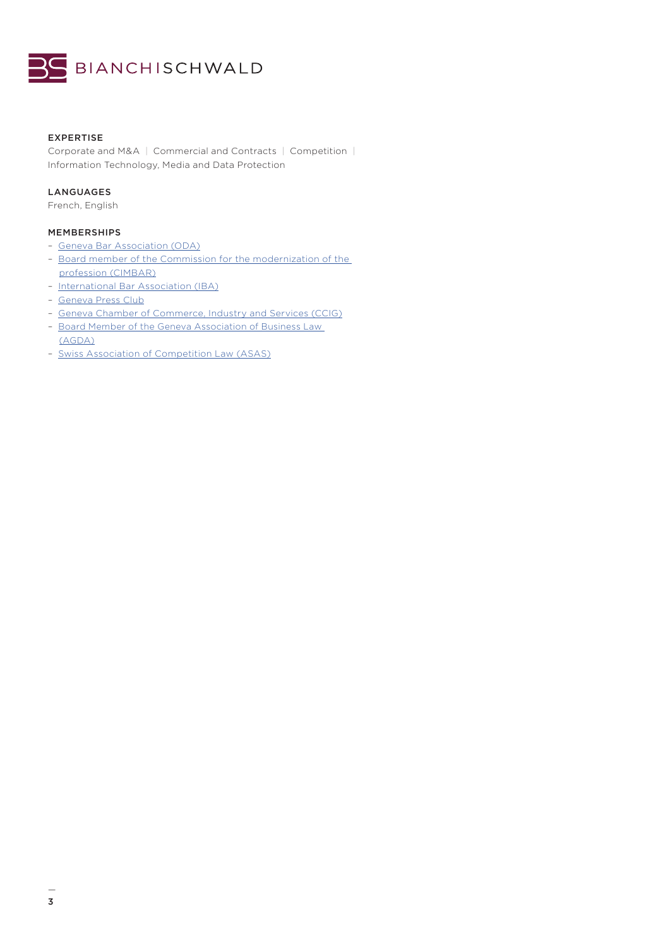

# EXPERTISE

Corporate and M&A | Commercial and Contracts | Competition | Information Technology, Media and Data Protection

# LANGUAGES

French, English

# MEMBERSHIPS

- [Geneva Bar Association \(ODA\)](https://www.odage.ch/)
- [Board member of the Commission for the modernization of the](https://www.odage.ch/commissions/innovation-modernisation-barreau)  [profession \(CIMBAR\)](https://www.odage.ch/commissions/innovation-modernisation-barreau)
- [International Bar Association \(IBA\)](https://www.ibanet.org/Default.aspx)
- [Geneva Press Club](http://pressclub.ch/)
- [Geneva Chamber of Commerce, Industry and Services \(CCIG\)](https://www.ccig.ch//)
- [Board Member of the Geneva Association of Business Law](https://www.agda.ch/)  [\(AGDA\)](https://www.agda.ch/)
- [Swiss Association of Competition Law \(ASAS\)](http://www.asas-concurrence.ch/)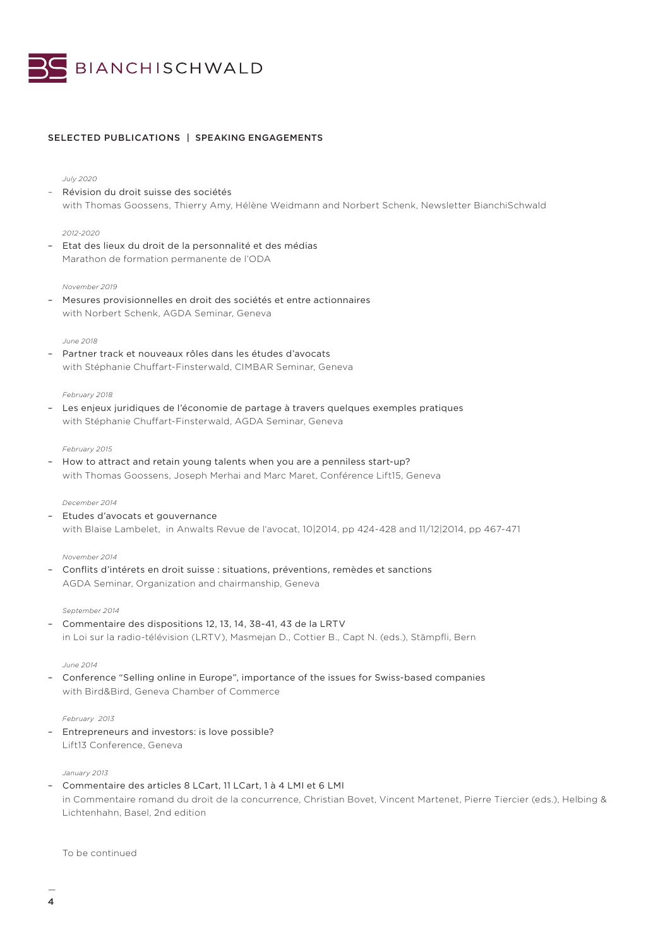

# SELECTED PUBLICATIONS | SPEAKING ENGAGEMENTS

*July 2020*

– Révision du droit suisse des sociétés with Thomas Goossens, Thierry Amy, Hélène Weidmann and Norbert Schenk, Newsletter BianchiSchwald

## *2012-2020*

– Etat des lieux du droit de la personnalité et des médias Marathon de formation permanente de l'ODA

### *November 2019*

– Mesures provisionnelles en droit des sociétés et entre actionnaires with Norbert Schenk, AGDA Seminar, Geneva

## *June 2018*

– Partner track et nouveaux rôles dans les études d'avocats with Stéphanie Chuffart-Finsterwald, CIMBAR Seminar, Geneva

#### *February 2018*

– Les enjeux juridiques de l'économie de partage à travers quelques exemples pratiques with Stéphanie Chuffart-Finsterwald, AGDA Seminar, Geneva

#### *February 2015*

– How to attract and retain young talents when you are a penniless start-up? with Thomas Goossens, Joseph Merhai and Marc Maret, Conférence Lift15, Geneva

#### *December 2014*

– Etudes d'avocats et gouvernance with Blaise Lambelet, in Anwalts Revue de l'avocat, 10|2014, pp 424-428 and 11/12|2014, pp 467-471

#### *November 2014*

– Conflits d'intérets en droit suisse : situations, préventions, remèdes et sanctions AGDA Seminar, Organization and chairmanship, Geneva

#### *September 2014*

– Commentaire des dispositions 12, 13, 14, 38-41, 43 de la LRTV in Loi sur la radio-télévision (LRTV), Masmejan D., Cottier B., Capt N. (eds.), Stämpfli, Bern

#### *June 2014*

– Conference "Selling online in Europe", importance of the issues for Swiss-based companies with Bird&Bird, Geneva Chamber of Commerce

## *February 2013*

– Entrepreneurs and investors: is love possible? Lift13 Conference, Geneva

# *January 2013*

– Commentaire des articles 8 LCart, 11 LCart, 1 à 4 LMI et 6 LMI in Commentaire romand du droit de la concurrence, Christian Bovet, Vincent Martenet, Pierre Tiercier (eds.), Helbing & Lichtenhahn, Basel, 2nd edition

To be continued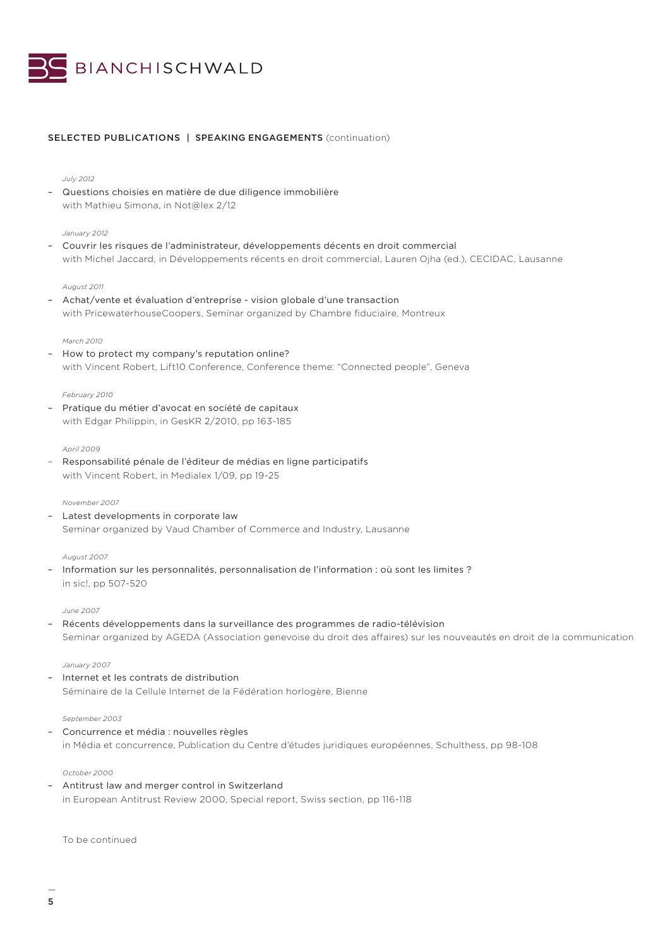

# SELECTED PUBLICATIONS | SPEAKING ENGAGEMENTS (continuation)

# *July 2012*

– Questions choisies en matière de due diligence immobilière with Mathieu Simona, in Not@lex 2/12

## *January 2012*

– Couvrir les risques de l'administrateur, développements décents en droit commercial with Michel Jaccard, in Développements récents en droit commercial, Lauren Ojha (ed.), CECIDAC, Lausanne

# *August 2011*

– Achat/vente et évaluation d'entreprise - vision globale d'une transaction with PricewaterhouseCoopers, Seminar organized by Chambre fiduciaire, Montreux

# *March 2010*

– How to protect my company's reputation online? with Vincent Robert, Lift10 Conference, Conference theme: "Connected people", Geneva

# *February 2010*

– Pratique du métier d'avocat en société de capitaux with Edgar Philippin, in GesKR 2/2010, pp 163-185

# *April 2009*

– Responsabilité pénale de l'éditeur de médias en ligne participatifs with Vincent Robert, in Medialex 1/09, pp 19-25

# *November 2007*

Latest developments in corporate law Seminar organized by Vaud Chamber of Commerce and Industry, Lausanne

# *August 2007*

– Information sur les personnalités, personnalisation de l'information : où sont les limites ? in sic!, pp 507-520

# *June 2007*

– Récents développements dans la surveillance des programmes de radio-télévision Seminar organized by AGEDA (Association genevoise du droit des affaires) sur les nouveautés en droit de la communication

## *January 2007*

– Internet et les contrats de distribution Séminaire de la Cellule Internet de la Fédération horlogère, Bienne

# *September 2003*

– Concurrence et média : nouvelles règles in Média et concurrence, Publication du Centre d'études juridiques européennes, Schulthess, pp 98-108

## *October 2000*

– Antitrust law and merger control in Switzerland in European Antitrust Review 2000, Special report, Swiss section, pp 116-118

To be continued